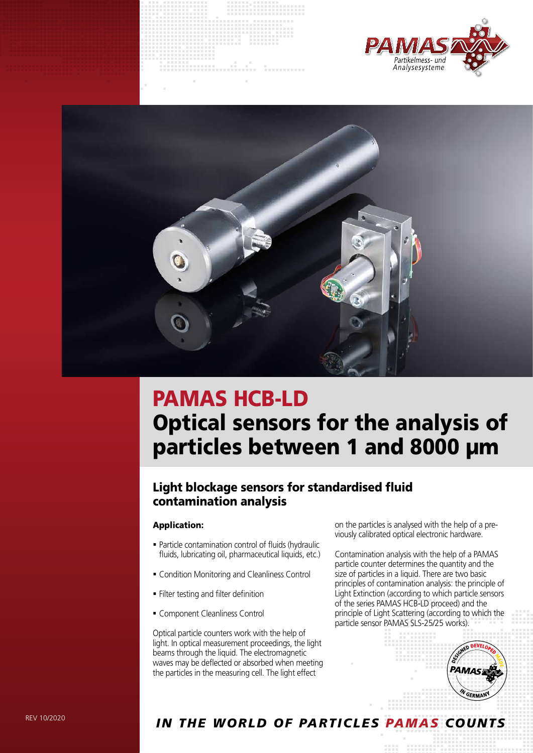



# PAMAS HCB-LD Optical sensors for the analysis of particles between 1 and 8000 µm

## Light blockage sensors for standardised fluid contamination analysis

#### Application:

- Particle contamination control of fluids (hydraulic fluids, lubricating oil, pharmaceutical liquids, etc.)
- Condition Monitoring and Cleanliness Control
- **Filter testing and filter definition**
- **Component Cleanliness Control**

Optical particle counters work with the help of light. In optical measurement proceedings, the light beams through the liquid. The electromagnetic waves may be deflected or absorbed when meeting the particles in the measuring cell. The light effect

on the particles is analysed with the help of a previously calibrated optical electronic hardware.

Contamination analysis with the help of a PAMAS particle counter determines the quantity and the size of particles in a liquid. There are two basic principles of contamination analysis: the principle of Light Extinction (according to which particle sensors of the series PAMAS HCB-LD proceed) and the principle of Light Scattering (according to which the particle sensor PAMAS SLS-25/25 works).



### *In the world of partIcles pamas counts*